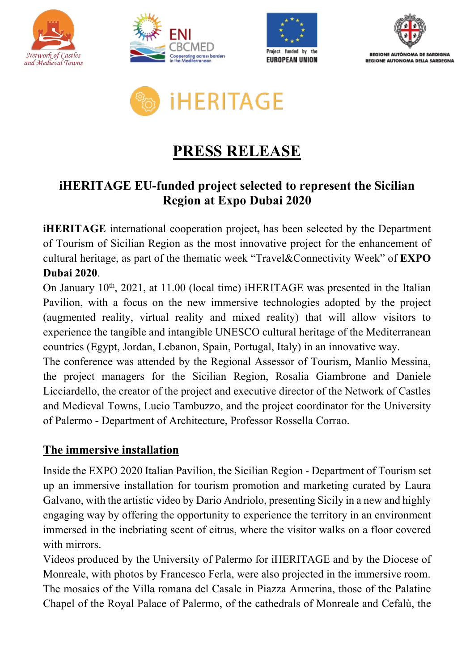









## **PRESS RELEASE**

## **iHERITAGE EU-funded project selected to represent the Sicilian Region at Expo Dubai 2020**

**iHERITAGE** international cooperation project**,** has been selected by the Department of Tourism of Sicilian Region as the most innovative project for the enhancement of cultural heritage, as part of the thematic week "Travel&Connectivity Week" of **EXPO Dubai 2020**.

On January  $10^{th}$ ,  $2021$ , at 11.00 (local time) iHERITAGE was presented in the Italian Pavilion, with a focus on the new immersive technologies adopted by the project (augmented reality, virtual reality and mixed reality) that will allow visitors to experience the tangible and intangible UNESCO cultural heritage of the Mediterranean countries (Egypt, Jordan, Lebanon, Spain, Portugal, Italy) in an innovative way.

The conference was attended by the Regional Assessor of Tourism, Manlio Messina, the project managers for the Sicilian Region, Rosalia Giambrone and Daniele Licciardello, the creator of the project and executive director of the Network of Castles and Medieval Towns, Lucio Tambuzzo, and the project coordinator for the University of Palermo - Department of Architecture, Professor Rossella Corrao.

## **The immersive installation**

Inside the EXPO 2020 Italian Pavilion, the Sicilian Region - Department of Tourism set up an immersive installation for tourism promotion and marketing curated by Laura Galvano, with the artistic video by Dario Andriolo, presenting Sicily in a new and highly engaging way by offering the opportunity to experience the territory in an environment immersed in the inebriating scent of citrus, where the visitor walks on a floor covered with mirrors.

Videos produced by the University of Palermo for iHERITAGE and by the Diocese of Monreale, with photos by Francesco Ferla, were also projected in the immersive room. The mosaics of the Villa romana del Casale in Piazza Armerina, those of the Palatine Chapel of the Royal Palace of Palermo, of the cathedrals of Monreale and Cefalù, the